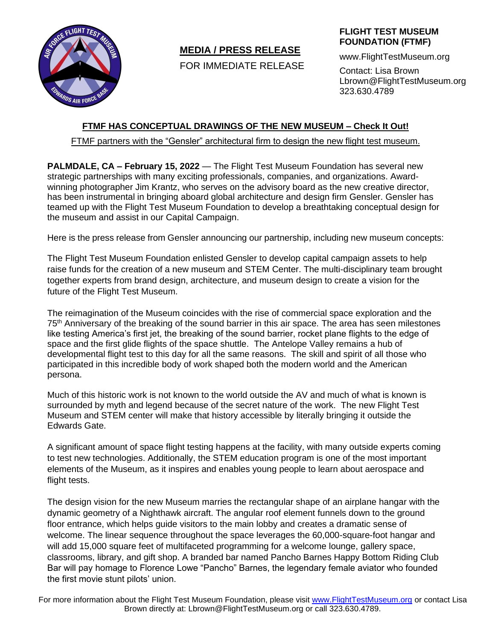

# **MEDIA / PRESS RELEASE**

FOR IMMEDIATE RELEASE

## **FLIGHT TEST MUSEUM FOUNDATION (FTMF)**

www.FlightTestMuseum.org

Contact: Lisa Brown Lbrown@FlightTestMuseum.org 323.630.4789

## **FTMF HAS CONCEPTUAL DRAWINGS OF THE NEW MUSEUM – Check It Out!**

FTMF partners with the "Gensler" architectural firm to design the new flight test museum.

**PALMDALE, CA – February 15, 2022** — The Flight Test Museum Foundation has several new strategic partnerships with many exciting professionals, companies, and organizations. Awardwinning photographer Jim Krantz, who serves on the advisory board as the new creative director, has been instrumental in bringing aboard global architecture and design firm Gensler. Gensler has teamed up with the Flight Test Museum Foundation to develop a breathtaking conceptual design for the museum and assist in our Capital Campaign.

Here is the press release from Gensler announcing our partnership, including new museum concepts:

The Flight Test Museum Foundation enlisted Gensler to develop capital campaign assets to help raise funds for the creation of a new museum and STEM Center. The multi-disciplinary team brought together experts from brand design, architecture, and museum design to create a vision for the future of the Flight Test Museum.

The reimagination of the Museum coincides with the rise of commercial space exploration and the 75<sup>th</sup> Anniversary of the breaking of the sound barrier in this air space. The area has seen milestones like testing America's first jet, the breaking of the sound barrier, rocket plane flights to the edge of space and the first glide flights of the space shuttle. The Antelope Valley remains a hub of developmental flight test to this day for all the same reasons. The skill and spirit of all those who participated in this incredible body of work shaped both the modern world and the American persona.

Much of this historic work is not known to the world outside the AV and much of what is known is surrounded by myth and legend because of the secret nature of the work. The new Flight Test Museum and STEM center will make that history accessible by literally bringing it outside the Edwards Gate.

A significant amount of space flight testing happens at the facility, with many outside experts coming to test new technologies. Additionally, the STEM education program is one of the most important elements of the Museum, as it inspires and enables young people to learn about aerospace and flight tests.

The design vision for the new Museum marries the rectangular shape of an airplane hangar with the dynamic geometry of a Nighthawk aircraft. The angular roof element funnels down to the ground floor entrance, which helps guide visitors to the main lobby and creates a dramatic sense of welcome. The linear sequence throughout the space leverages the 60,000-square-foot hangar and will add 15,000 square feet of multifaceted programming for a welcome lounge, gallery space, classrooms, library, and gift shop. A branded bar named Pancho Barnes Happy Bottom Riding Club Bar will pay homage to Florence Lowe "Pancho" Barnes, the legendary female aviator who founded the first movie stunt pilots' union.

For more information about the Flight Test Museum Foundation, please visit [www.FlightTestMuseum.org](http://www.flighttestmuseum.org/) or contact Lisa Brown directly at: Lbrown@FlightTestMuseum.org or call 323.630.4789.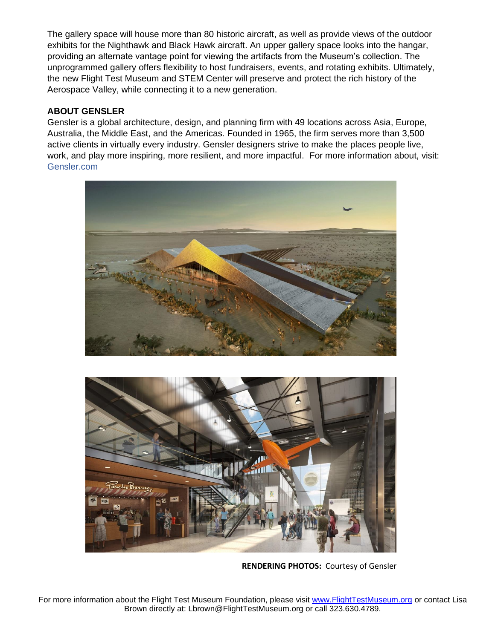The gallery space will house more than 80 historic aircraft, as well as provide views of the outdoor exhibits for the Nighthawk and Black Hawk aircraft. An upper gallery space looks into the hangar, providing an alternate vantage point for viewing the artifacts from the Museum's collection. The unprogrammed gallery offers flexibility to host fundraisers, events, and rotating exhibits. Ultimately, the new Flight Test Museum and STEM Center will preserve and protect the rich history of the Aerospace Valley, while connecting it to a new generation.

## **ABOUT GENSLER**

Gensler is a global architecture, design, and planning firm with 49 locations across Asia, Europe, Australia, the Middle East, and the Americas. Founded in 1965, the firm serves more than 3,500 active clients in virtually every industry. Gensler designers strive to make the places people live, work, and play more inspiring, more resilient, and more impactful. For more information about, visit[:](https://www.gensler.com/) [Gensler.com](https://www.gensler.com/)





**RENDERING PHOTOS:** Courtesy of Gensler

For more information about the Flight Test Museum Foundation, please visit [www.FlightTestMuseum.org](http://www.flighttestmuseum.org/) or contact Lisa Brown directly at: Lbrown@FlightTestMuseum.org or call 323.630.4789.